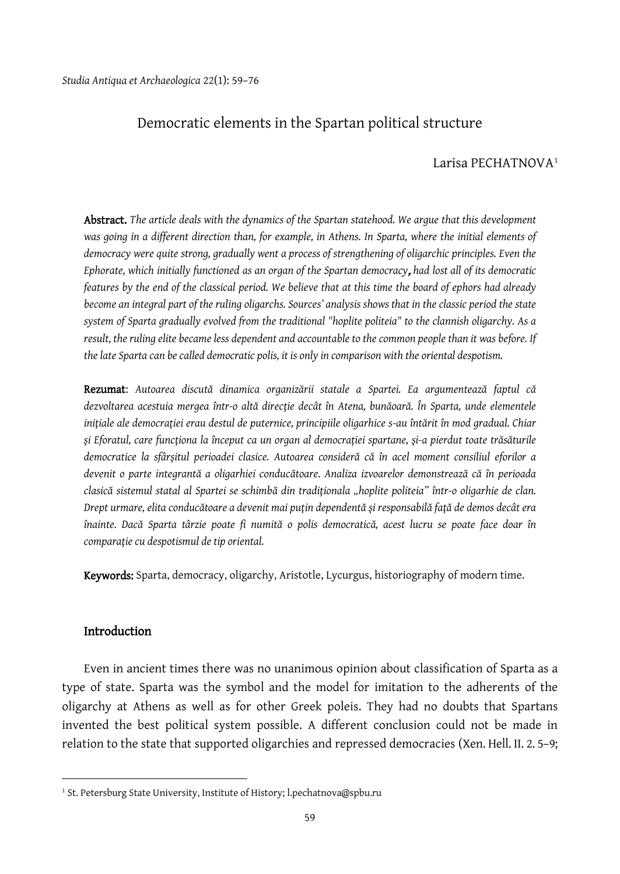# Democratic elements in the Spartan political structure

## Larisa PECHATNOVA<sup>[1](#page-0-0)</sup>

Abstract. *The article deals with the dynamics of the Spartan statehood. We argue that this development was going in a different direction than, for example, in Athens. In Sparta, where the initial elements of democracy were quite strong, gradually went a process of strengthening of oligarchic principles. Even the Ephorate, which initially functioned as an organ of the Spartan democracy*, *had lost all of its democratic features by the end of the classical period. We believe that at this time the board of ephors had already become an integral part of the ruling oligarchs. Sources' analysis shows that in the classic period the state system of Sparta gradually evolved from the traditional "hoplite politeia" to the clannish oligarchy. As a result, the ruling elite became less dependent and accountable to the common people than it was before. If the late Sparta can be called democratic polis, it is only in comparison with the oriental despotism.*

Rezumat: *Autoarea discută dinamica organizării statale a Spartei. Ea argumentează faptul că dezvoltarea acestuia mergea într-o altă direcţie decât în Atena, bunăoară. În Sparta, unde elementele iniţiale ale democraţiei erau destul de puternice, principiile oligarhice s-au întărit în mod gradual. Chiar şi Eforatul, care funcţiona la început ca un organ al democrației spartane, şi-a pierdut toate trăsăturile democratice la sfârşitul perioadei clasice. Autoarea consideră că în acel moment consiliul eforilor a devenit o parte integrantă a oligarhiei conducătoare. Analiza izvoarelor demonstrează că în perioada clasică sistemul statal al Spartei se schimbă din tradiţionala "hoplite politeia" într-o oligarhie de clan. Drept urmare, elita conducătoare a devenit mai puţin dependentă şi responsabilă faţă de demos decât era înainte. Dacă Sparta târzie poate fi numită o polis democratică, acest lucru se poate face doar în comparaţie cu despotismul de tip oriental.*

Keywords: Sparta, democracy, oligarchy, Aristotle, Lycurgus, historiography of modern time.

## Introduction

 $\overline{a}$ 

Even in ancient times there was no unanimous opinion about classification of Sparta as a type of state. Sparta was the symbol and the model for imitation to the adherents of the oligarchy at Athens as well as for other Greek poleis. They had no doubts that Spartans invented the best political system possible. A different conclusion could not be made in relation to the state that supported oligarchies and repressed democracies (Xen. Hell. II. 2. 5–9;

<span id="page-0-0"></span><sup>&</sup>lt;sup>1</sup> St. Petersburg State University, Institute of History; l.pechatnova@spbu.ru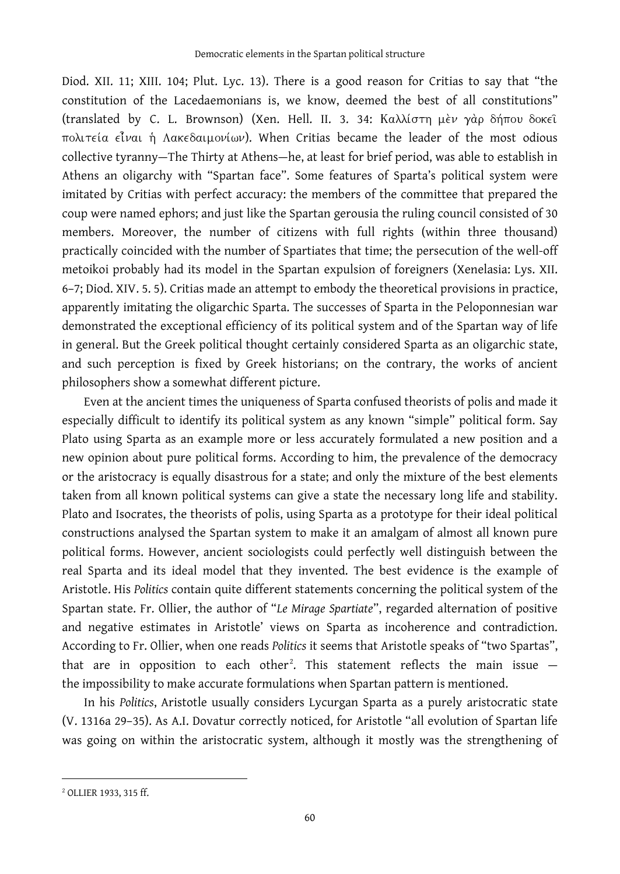Diod. XII. 11; XIII. 104; Plut. Lyc. 13). There is a good reason for Critias to say that "the constitution of the Lacedaemonians is, we know, deemed the best of all constitutions" (translated by C. L. Brownson) (Xen. Hell. II. 3. 34: πολιτεία είναι ή Λακεδαιμονίων). When Critias became the leader of the most odious collective tyranny—The Thirty at Athens—he, at least for brief period, was able to establish in Athens an oligarchy with "Spartan face". Some features of Sparta's political system were imitated by Critias with perfect accuracy: the members of the committee that prepared the coup were named ephors; and just like the Spartan gerousia the ruling council consisted of 30 members. Moreover, the number of citizens with full rights (within three thousand) practically coincided with the number of Spartiates that time; the persecution of the well-off metoikoi probably had its model in the Spartan expulsion of foreigners (Xenelasia: Lys. XII. 6–7; Diod. XIV. 5. 5). Critias made an attempt to embody the theoretical provisions in practice, apparently imitating the oligarchic Sparta. The successes of Sparta in the Peloponnesian war demonstrated the exceptional efficiency of its political system and of the Spartan way of life in general. But the Greek political thought certainly considered Sparta as an oligarchic state, and such perception is fixed by Greek historians; on the contrary, the works of ancient philosophers show a somewhat different picture.

Even at the ancient times the uniqueness of Sparta confused theorists of polis and made it especially difficult to identify its political system as any known "simple" political form. Say Plato using Sparta as an example more or less accurately formulated a new position and a new opinion about pure political forms. According to him, the prevalence of the democracy or the aristocracy is equally disastrous for a state; and only the mixture of the best elements taken from all known political systems can give a state the necessary long life and stability. Plato and Isocrates, the theorists of polis, using Sparta as a prototype for their ideal political constructions analysed the Spartan system to make it an amalgam of almost all known pure political forms. However, ancient sociologists could perfectly well distinguish between the real Sparta and its ideal model that they invented. The best evidence is the example of Aristotle. His *Politics* contain quite different statements concerning the political system of the Spartan state. Fr. Ollier, the author of "*Le Mirage Spartiate*", regarded alternation of positive and negative estimates in Aristotle' views on Sparta as incoherence and contradiction. According to Fr. Ollier, when one reads *Politics* it seems that Aristotle speaks of "two Spartas", that are in opposition to each other<sup>[2](#page-1-0)</sup>. This statement reflects the main issue  $$ the impossibility to make accurate formulations when Spartan pattern is mentioned.

In his *Politics*, Aristotle usually considers Lycurgan Sparta as a purely aristocratic state (V. 1316a 29–35). As A.I. Dovatur correctly noticed, for Aristotle "all evolution of Spartan life was going on within the aristocratic system, although it mostly was the strengthening of

<span id="page-1-0"></span><sup>2</sup> OLLIER 1933, 315 ff.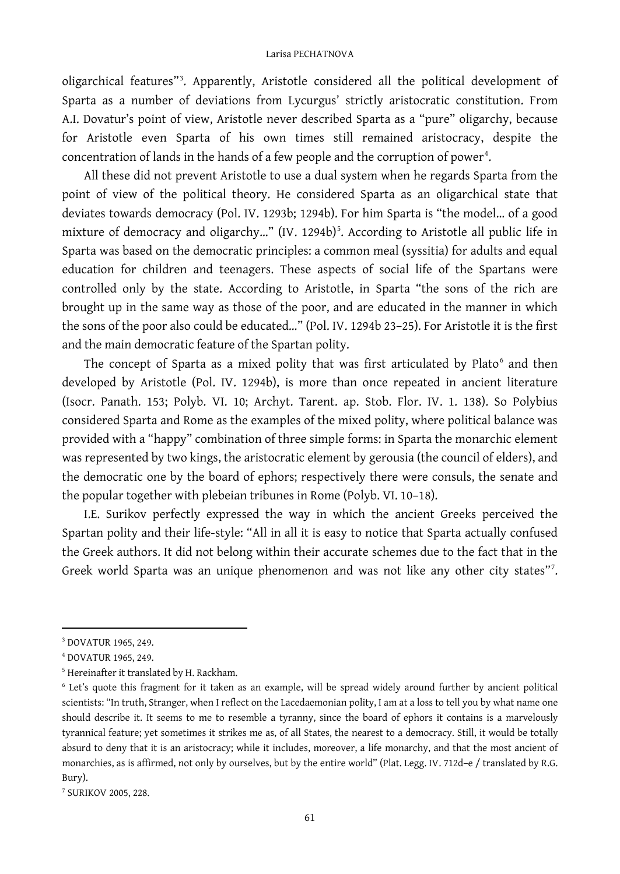oligarchical features"[3](#page-2-0) . Apparently, Aristotle considered all the political development of Sparta as a number of deviations from Lycurgus' strictly aristocratic constitution. From A.I. Dovatur's point of view, Aristotle never described Sparta as a "pure" oligarchy, because for Aristotle even Sparta of his own times still remained aristocracy, despite the concentration of lands in the hands of a few people and the corruption of power $^{\rm 4}.$  $^{\rm 4}.$  $^{\rm 4}.$ 

All these did not prevent Aristotle to use а dual system when he regards Sparta from the point of view of the political theory. He considered Sparta as an oligarchical state that deviates towards democracy (Pol. IV. 1293b; 1294b). For him Sparta is "the model… of a good mixture of democracy and oligarchy..." (IV. 1294b)<sup>[5](#page-2-2)</sup>. According to Aristotle all public life in Sparta was based on the democratic principles: a common meal (syssitia) for adults and equal education for children and teenagers. These aspects of social life of the Spartans were controlled only by the state. According to Aristotle, in Sparta "the sons of the rich are brought up in the same way as those of the poor, and are educated in the manner in which the sons of the poor also could be educated…" (Pol. IV. 1294b 23–25). For Aristotle it is the first and the main democratic feature of the Spartan polity.

The concept of Sparta as a mixed polity that was first articulated by Plato<sup>[6](#page-2-3)</sup> and then developed by Aristotle (Pol. IV. 1294b), is more than once repeated in ancient literature (Isocr. Panath. 153; Polyb. VI. 10; Archyt. Tarent. ap. Stob. Flor. IV. 1. 138). So Polybius considered Sparta and Rome as the examples of the mixed polity, where political balance was provided with a "happy" combination of three simple forms: in Sparta the monarchic element was represented by two kings, the aristocratic element by gerousia (the council of elders), and the democratic one by the board of ephors; respectively there were consuls, the senate and the popular together with plebeian tribunes in Rome (Polyb. VI. 10–18).

I.E. Surikov perfectly expressed the way in which the ancient Greeks perceived the Spartan polity and their life-style: "All in all it is easy to notice that Sparta actually confused the Greek authors. It did not belong within their accurate schemes due to the fact that in the Greek world Sparta was an unique phenomenon and was not like any other city states"[7](#page-2-4).

<span id="page-2-0"></span><sup>3</sup> DOVATUR 1965, 249.

<span id="page-2-1"></span><sup>4</sup> DOVATUR 1965, 249.

<span id="page-2-2"></span><sup>5</sup> Hereinafter it translated by H. Rackham.

<span id="page-2-3"></span><sup>6</sup> Let's quote this fragment for it taken as an example, will be spread widely around further by ancient political scientists: "In truth, Stranger, when I reflect on the Lacedaemonian polity, I am at a loss to tell you by what name one should describe it. It seems to me to resemble a tyranny, since the board of ephors it contains is a marvelously tyrannical feature; yet sometimes it strikes me as, of all States, the nearest to a democracy. Still, it would be totally absurd to deny that it is an aristocracy; while it includes, moreover, a life monarchy, and that the most ancient of monarchies, as is affirmed, not only by ourselves, but by the entire world" (Plat. Legg. IV. 712d–e / translated by R.G. Bury).

<span id="page-2-4"></span><sup>7</sup> SURIKOV 2005, 228.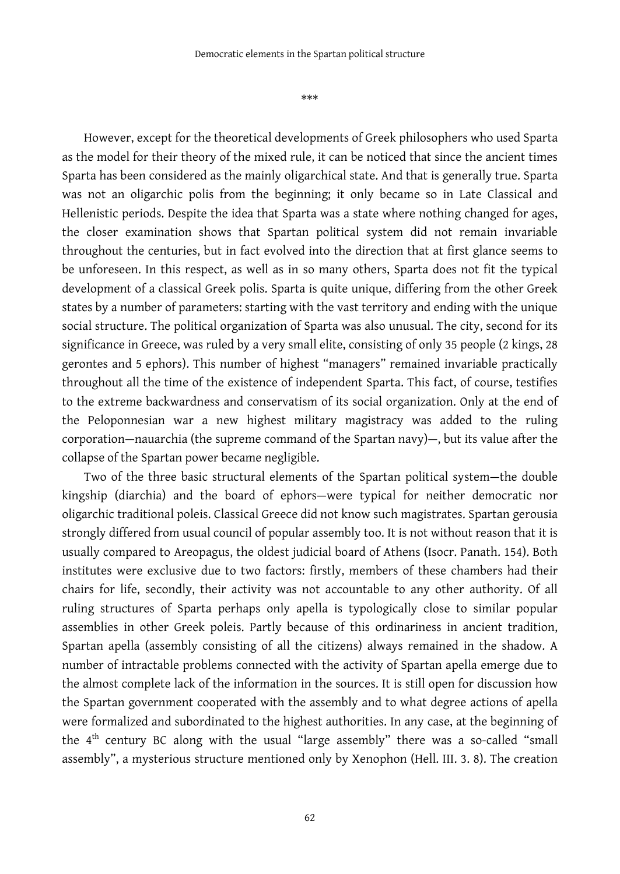\*\*\*

However, except for the theoretical developments of Greek philosophers who used Sparta as the model for their theory of the mixed rule, it can be noticed that since the ancient times Sparta has been considered as the mainly oligarchical state. And that is generally true. Sparta was not an oligarchic polis from the beginning; it only became so in Late Classical and Hellenistic periods. Despite the idea that Sparta was a state where nothing changed for ages, the closer examination shows that Spartan political system did not remain invariable throughout the centuries, but in fact evolved into the direction that at first glance seems to be unforeseen. In this respect, as well as in so many others, Sparta does not fit the typical development of a classical Greek polis. Sparta is quite unique, differing from the other Greek states by a number of parameters: starting with the vast territory and ending with the unique social structure. The political organization of Sparta was also unusual. The city, second for its significance in Greece, was ruled by a very small elite, consisting of only 35 people (2 kings, 28 gerontes and 5 ephors). This number of highest "managers" remained invariable practically throughout all the time of the existence of independent Sparta. This fact, of course, testifies to the extreme backwardness and conservatism of its social organization. Only at the end of the Peloponnesian war a new highest military magistracy was added to the ruling corporation—nauarchia (the supreme command of the Spartan navy)—, but its value after the collapse of the Spartan power became negligible.

Two of the three basic structural elements of the Spartan political system—the double kingship (diarchia) and the board of ephors—were typical for neither democratic nor oligarchic traditional poleis. Classical Greece did not know such magistrates. Spartan gerousia strongly differed from usual council of popular assembly too. It is not without reason that it is usually compared to Areopagus, the oldest judicial board of Athens (Isocr. Panath. 154). Both institutes were exclusive due to two factors: firstly, members of these chambers had their chairs for life, secondly, their activity was not accountable to any other authority. Of all ruling structures of Sparta perhaps only apella is typologically close to similar popular assemblies in other Greek poleis. Partly because of this ordinariness in ancient tradition, Spartan apella (assembly consisting of all the citizens) always remained in the shadow. A number of intractable problems connected with the activity of Spartan apella emerge due to the almost complete lack of the information in the sources. It is still open for discussion how the Spartan government cooperated with the assembly and to what degree actions of apella were formalized and subordinated to the highest authorities. In any case, at the beginning of the 4<sup>th</sup> century BC along with the usual "large assembly" there was a so-called "small assembly", a mysterious structure mentioned only by Xenophon (Hell. III. 3. 8). The creation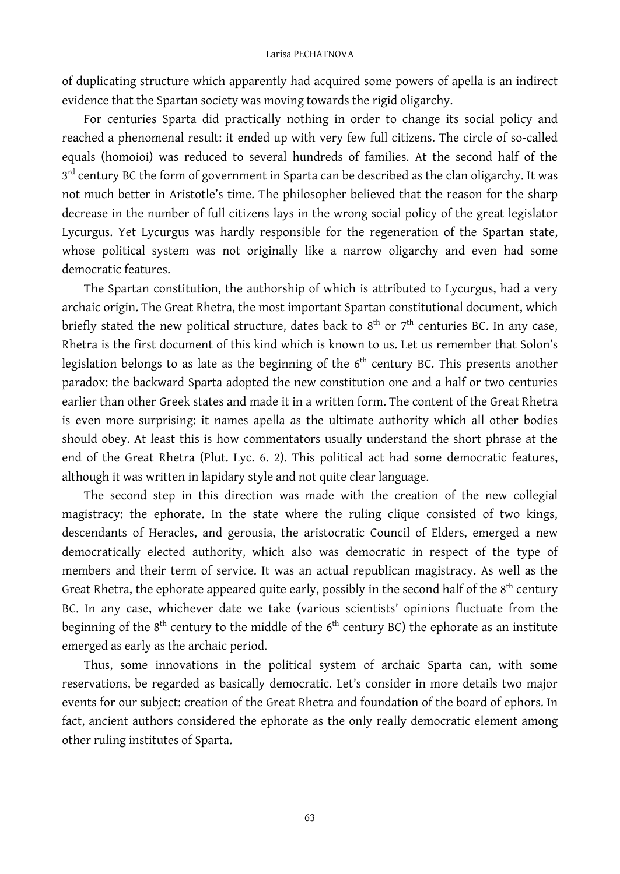of duplicating structure which apparently had acquired some powers of apella is an indirect evidence that the Spartan society was moving towards the rigid oligarchy.

For centuries Sparta did practically nothing in order to change its social policy and reached a phenomenal result: it ended up with very few full citizens. The circle of so-called equals (homoioi) was reduced to several hundreds of families. At the second half of the 3<sup>rd</sup> century BC the form of government in Sparta can be described as the clan oligarchy. It was not much better in Aristotle's time. The philosopher believed that the reason for the sharp decrease in the number of full citizens lays in the wrong social policy of the great legislator Lycurgus. Yet Lycurgus was hardly responsible for the regeneration of the Spartan state, whose political system was not originally like a narrow oligarchy and even had some democratic features.

The Spartan constitution, the authorship of which is attributed to Lycurgus, had a very archaic origin. The Great Rhetra, the most important Spartan constitutional document, which briefly stated the new political structure, dates back to  $8^{\text{th}}$  or  $7^{\text{th}}$  centuries BC. In any case, Rhetra is the first document of this kind which is known to us. Let us remember that Solon's legislation belongs to as late as the beginning of the  $6<sup>th</sup>$  century BC. This presents another paradox: the backward Sparta adopted the new constitution one and a half or two centuries earlier than other Greek states and made it in a written form. The content of the Great Rhetra is even more surprising: it names apella as the ultimate authority which all other bodies should obey. At least this is how commentators usually understand the short phrase at the end of the Great Rhetra (Plut. Lyc. 6. 2). This political act had some democratic features, although it was written in lapidary style and not quite clear language.

The second step in this direction was made with the creation of the new collegial magistracy: the ephorate. In the state where the ruling clique consisted of two kings, descendants of Heracles, and gerousia, the aristocratic Council of Elders, emerged a new democratically elected authority, which also was democratic in respect of the type of members and their term of service. It was an actual republican magistracy. As well as the Great Rhetra, the ephorate appeared quite early, possibly in the second half of the 8<sup>th</sup> century BC. In any case, whichever date we take (various scientists' opinions fluctuate from the beginning of the  $8<sup>th</sup>$  century to the middle of the  $6<sup>th</sup>$  century BC) the ephorate as an institute emerged as early as the archaic period.

Thus, some innovations in the political system of archaic Sparta can, with some reservations, be regarded as basically democratic. Let's consider in more details two major events for our subject: creation of the Great Rhetra and foundation of the board of ephors. In fact, ancient authors considered the ephorate as the only really democratic element among other ruling institutes of Sparta.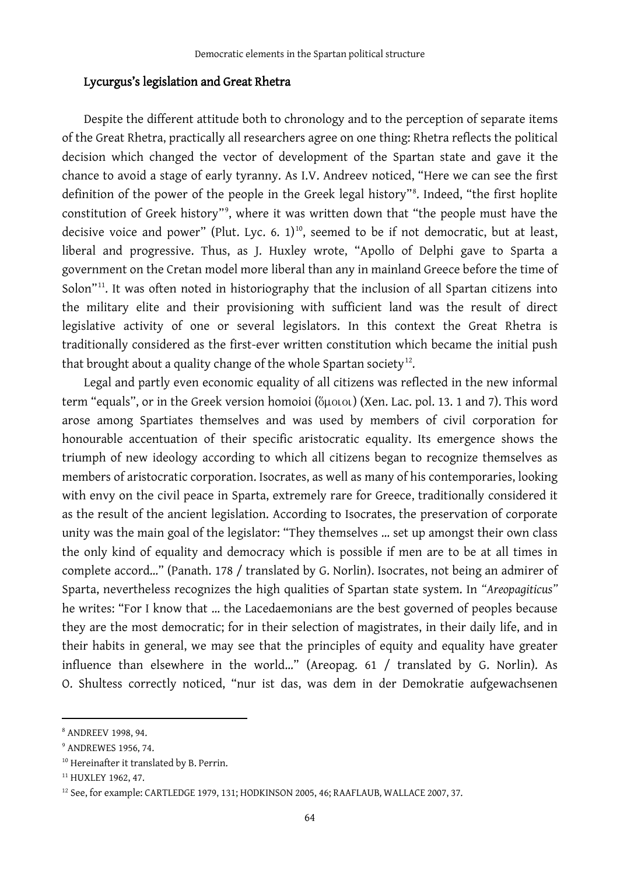## Lycurgus's legislation and Great Rhetra

Despite the different attitude both to chronology and to the perception of separate items of the Great Rhetra, practically all researchers agree on one thing: Rhetra reflects the political decision which changed the vector of development of the Spartan state and gave it the chance to avoid a stage of early tyranny. As I.V. Andreev noticed, "Here we can see the first definition of the power of the people in the Greek legal history"[8](#page-5-0) . Indeed, "the first hoplite constitution of Greek history"[9](#page-5-1) , where it was written down that "the people must have the decisive voice and power" (Plut. Lyc. 6.  $1)^{10}$  $1)^{10}$  $1)^{10}$ , seemed to be if not democratic, but at least, liberal and progressive. Thus, as J. Huxley wrote, "Apollo of Delphi gave to Sparta a government on the Cretan model more liberal than any in mainland Greece before the time of Solon"<sup>11</sup>. It was often noted in historiography that the inclusion of all Spartan citizens into the military elite and their provisioning with sufficient land was the result of direct legislative activity of one or several legislators. In this context the Great Rhetra is traditionally considered as the first-ever written constitution which became the initial push that brought about a quality change of the whole Spartan society<sup>12</sup>.

Legal and partly even economic equality of all citizens was reflected in the new informal term "equals", or in the Greek version homoioi (ὅμοιοι) (Xen. Lac. pol. 13. 1 and 7). This word arose among Spartiates themselves and was used by members of civil corporation for honourable accentuation of their specific aristocratic equality. Its emergence shows the triumph of new ideology according to which all citizens began to recognize themselves as members of aristocratic corporation. Isocrates, as well as many of his contemporaries, looking with envy on the civil peace in Sparta, extremely rare for Greece, traditionally considered it as the result of the ancient legislation. According to Isocrates, the preservation of corporate unity was the main goal of the legislator: "They themselves … set up amongst their own class the only kind of equality and democracy which is possible if men are to be at all times in complete accord…" (Panath. 178 / translated by G. Norlin). Isocrates, not being an admirer of Sparta, nevertheless recognizes the high qualities of Spartan state system. In *"Areopagiticus"*  he writes: "For I know that … the Lacedaemonians are the best governed of peoples because they are the most democratic; for in their selection of magistrates, in their daily life, and in their habits in general, we may see that the principles of equity and equality have greater influence than elsewhere in the world…" (Areopag. 61 / translated by G. Norlin). As O. Shultess correctly noticed, "nur ist das, was dem in der Demokratie aufgewachsenen

<span id="page-5-0"></span><sup>8</sup> ANDREEV 1998, 94.

<span id="page-5-1"></span><sup>9</sup> ANDREWES 1956, 74.

<span id="page-5-2"></span><sup>&</sup>lt;sup>10</sup> Hereinafter it translated by B. Perrin.

<span id="page-5-3"></span><sup>&</sup>lt;sup>11</sup> HUXLEY 1962, 47.

<span id="page-5-4"></span><sup>12</sup> See, for example: CARTLEDGE 1979, 131; HODKINSON 2005, 46; RAAFLAUB*,* WALLACE 2007, 37.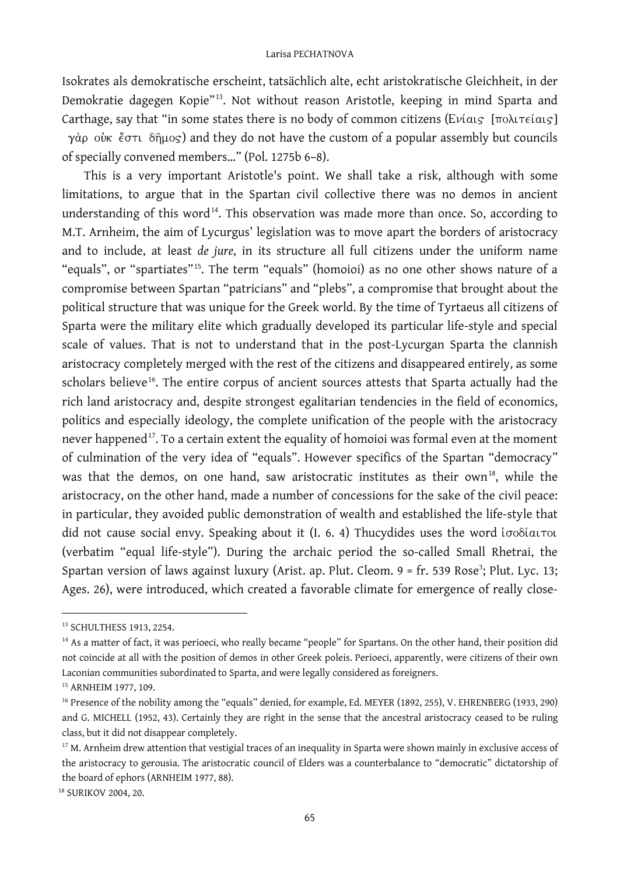Isokrates als demokratische erscheint, tatsächlich alte, echt aristokratische Gleichheit, in der Demokratie dagegen Kopie"[13](#page-6-0). Not without reason Aristotle, keeping in mind Sparta and Carthage, say that "in some states there is no body of common citizens ( $E\nu i a_1$ ,  $\sigma$ )  $\sigma$  $\gamma$  d $\rho$  over  $\zeta$   $\zeta$   $\zeta$   $\zeta$  and they do not have the custom of a popular assembly but councils of specially convened members…" (Pol. 1275b 6–8).

This is a very important Aristotle's point. We shall take a risk, although with some limitations, to argue that in the Spartan civil collective there was no demos in ancient understanding of this word<sup>14</sup>. This observation was made more than once. So, according to M.T. Arnheim, the aim of Lycurgus' legislation was to move apart the borders of aristocracy and to include, at least *de jure*, in its structure all full citizens under the uniform name "equals", or "spartiates"[15](#page-6-2). The term "equals" (homoioi) as no one other shows nature of a compromise between Spartan "patricians" and "plebs", a compromise that brought about the political structure that was unique for the Greek world. By the time of Tyrtaeus all citizens of Sparta were the military elite which gradually developed its particular life-style and special scale of values. That is not to understand that in the post-Lycurgan Sparta the clannish aristocracy completely merged with the rest of the citizens and disappeared entirely, as some scholars believe<sup>16</sup>. The entire corpus of ancient sources attests that Sparta actually had the rich land aristocracy and, despite strongest egalitarian tendencies in the field of economics, politics and especially ideology, the complete unification of the people with the aristocracy never happened<sup>17</sup>. To a certain extent the equality of homoioi was formal even at the moment of culmination of the very idea of "equals". However specifics of the Spartan "democracy" was that the demos, on one hand, saw aristocratic institutes as their own<sup>[18](#page-6-5)</sup>, while the aristocracy, on the other hand, made a number of concessions for the sake of the civil peace: in particular, they avoided public demonstration of wealth and established the life-style that did not cause social envy. Speaking about it (I. 6. 4) Thucydides uses the word  $i\sigma$ o $\delta$ iarou (verbatim "equal life-style"). During the archaic period the so-called Small Rhetrai, the Spartan version of laws against luxury (Arist. ap. Plut. Cleom. 9 = fr. 539 Rose<sup>3</sup>; Plut. Lyc. 13; Ages. 26), were introduced, which created a favorable climate for emergence of really close-

<span id="page-6-0"></span><sup>13</sup> SCHULTHESS 1913, 2254.

<span id="page-6-1"></span><sup>&</sup>lt;sup>14</sup> As a matter of fact, it was perioeci, who really became "people" for Spartans. On the other hand, their position did not coincide at all with the position of demos in other Greek poleis. Perioeci, apparently, were citizens of their own Laconian communities subordinated to Sparta, and were legally considered as foreigners.

<span id="page-6-2"></span><sup>15</sup> ARNHEIM 1977, 109.

<span id="page-6-3"></span><sup>16</sup> Presence of the nobility among the "equals" denied, for example, Ed. MEYER (1892, 255), V. EHRENBERG (1933, 290) and G. MICHELL (1952, 43). Certainly they are right in the sense that the ancestral aristocracy ceased to be ruling class, but it did not disappear completely.

<span id="page-6-4"></span><sup>&</sup>lt;sup>17</sup> M. Arnheim drew attention that vestigial traces of an inequality in Sparta were shown mainly in exclusive access of the aristocracy to gerousia. The aristocratic council of Elders was a counterbalance to "democratic" dictatorship of the board of ephors (ARNHEIM 1977, 88).

<span id="page-6-5"></span><sup>&</sup>lt;sup>18</sup> SURIKOV 2004, 20.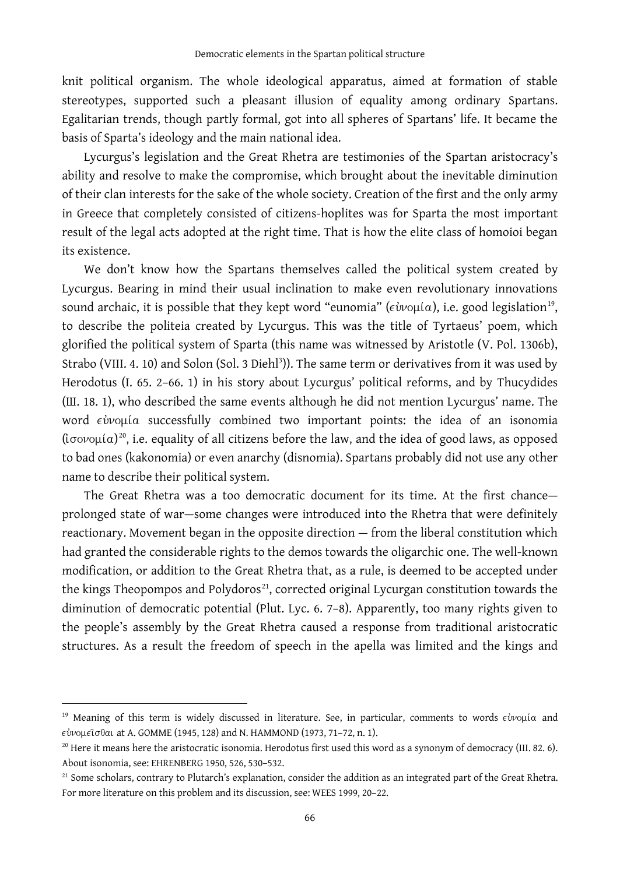knit political organism. The whole ideological apparatus, aimed at formation of stable stereotypes, supported such a pleasant illusion of equality among ordinary Spartans. Egalitarian trends, though partly formal, got into all spheres of Spartans' life. It became the basis of Sparta's ideology and the main national idea.

Lycurgus's legislation and the Great Rhetra are testimonies of the Spartan aristocracy's ability and resolve to make the compromise, which brought about the inevitable diminution of their clan interests for the sake of the whole society. Creation of the first and the only army in Greece that completely consisted of citizens-hoplites was for Sparta the most important result of the legal acts adopted at the right time. That is how the elite class of homoioi began its existence.

We don't know how the Spartans themselves called the political system created by Lycurgus. Bearing in mind their usual inclination to make even revolutionary innovations sound archaic, it is possible that they kept word "eunomia" ( $\epsilon \dot{\psi}$ νομία), i.e. good legislation<sup>[19](#page-7-0)</sup>, to describe the politeia created by Lycurgus. This was the title of Tyrtaeus' poem, which glorified the political system of Sparta (this name was witnessed by Aristotle (V. Pol. 1306b), Strabo (VIII. 4. 10) and Solon (Sol. 3 Diehl<sup>3</sup>)). The same term or derivatives from it was used by Herodotus (I. 65. 2–66. 1) in his story about Lycurgus' political reforms, and by Thucydides (Ш. 18. 1), who described the same events although he did not mention Lycurgus' name. The word  $\epsilon \dot{\nu}$ voµía successfully combined two important points: the idea of an isonomia ( $i\sigma$ o $\nu$ u $(a)$ <sup>[20](#page-7-1)</sup>, i.e. equality of all citizens before the law, and the idea of good laws, as opposed to bad ones (kakonomia) or even anarchy (disnomia). Spartans probably did not use any other name to describe their political system.

The Great Rhetra was a too democratic document for its time. At the first chance prolonged state of war—some changes were introduced into the Rhetra that were definitely reactionary. Movement began in the opposite direction — from the liberal constitution which had granted the considerable rights to the demos towards the oligarchic one. The well-known modification, or addition to the Great Rhetra that, as a rule, is deemed to be accepted under the kings Theopompos and Polydoros<sup>[21](#page-7-2)</sup>, corrected original Lycurgan constitution towards the diminution of democratic potential (Plut. Lyc. 6. 7–8). Apparently, too many rights given to the people's assembly by the Great Rhetra caused a response from traditional aristocratic structures. As a result the freedom of speech in the apella was limited and the kings and

<span id="page-7-0"></span><sup>&</sup>lt;sup>19</sup> Meaning of this term is widely discussed in literature. See, in particular, comments to words  $\epsilon \dot{v}$ voµía and at A. GOMME (1945, 128) and N. HAMMOND (1973, 71–72, n. 1).

<span id="page-7-1"></span> $^{20}$  Here it means here the aristocratic isonomia. Herodotus first used this word as a synonym of democracy (III. 82. 6). About isonomia, see: EHRENBERG 1950, 526, 530–532.

<span id="page-7-2"></span><sup>&</sup>lt;sup>21</sup> Some scholars, contrary to Plutarch's explanation, consider the addition as an integrated part of the Great Rhetra. For more literature on this problem and its discussion, see: WEES 1999, 20–22.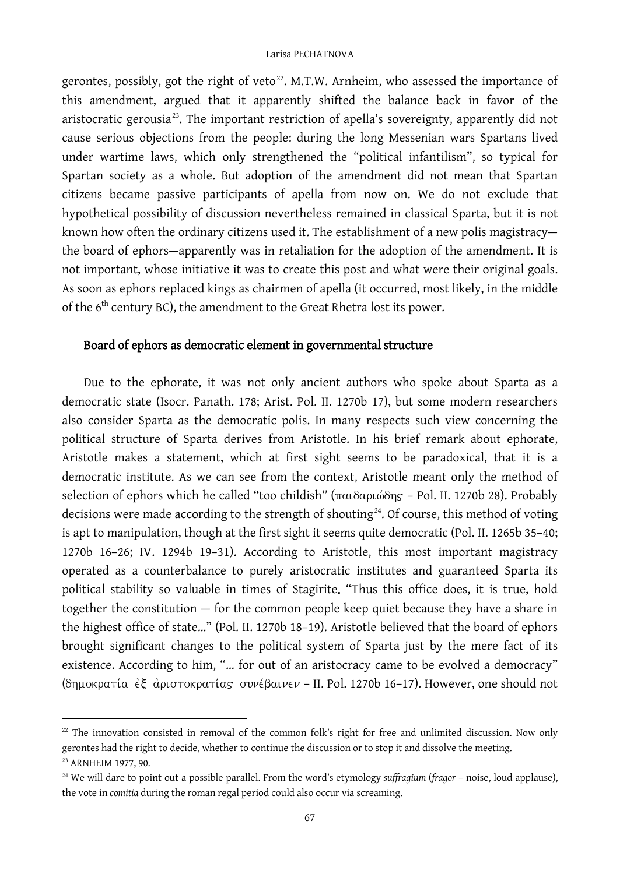gerontes, possibly, got the right of veto $^{22}$ . M.T.W. Arnheim, who assessed the importance of this amendment, argued that it apparently shifted the balance back in favor of the aristocratic gerousia<sup>[23](#page-8-1)</sup>. The important restriction of apella's sovereignty, apparently did not cause serious objections from the people: during the long Messenian wars Spartans lived under wartime laws, which only strengthened the "political infantilism", so typical for Spartan society as a whole. But adoption of the amendment did not mean that Spartan citizens became passive participants of apella from now on. We do not exclude that hypothetical possibility of discussion nevertheless remained in classical Sparta, but it is not known how often the ordinary citizens used it. The establishment of a new polis magistracy the board of ephors—apparently was in retaliation for the adoption of the amendment. It is not important, whose initiative it was to create this post and what were their original goals. As soon as ephors replaced kings as chairmen of apella (it occurred, most likely, in the middle of the 6<sup>th</sup> century BC), the amendment to the Great Rhetra lost its power.

## Board of ephors as democratic element in governmental structure

Due to the ephorate, it was not only ancient authors who spoke about Sparta as a democratic state (Isocr. Panath. 178; Arist. Pol. II. 1270b 17), but some modern researchers also consider Sparta as the democratic polis. In many respects such view concerning the political structure of Sparta derives from Aristotle. In his brief remark about ephorate, Aristotle makes a statement, which at first sight seems to be paradoxical, that it is a democratic institute. As we can see from the context, Aristotle meant only the method of selection of ephors which he called "too childish" ( $\pi a_1 \delta a_0 \omega \delta \eta s$  – Pol. II. 1270b 28). Probably decisions were made according to the strength of shouting $24$ . Of course, this method of voting is apt to manipulation, though at the first sight it seems quite democratic (Pol. II. 1265b 35–40; 1270b 16–26; IV. 1294b 19–31). According to Aristotle, this most important magistracy operated as a counterbalance to purely aristocratic institutes and guaranteed Sparta its political stability so valuable in times of Stagirite. "Thus this office does, it is true, hold together the constitution — for the common people keep quiet because they have a share in the highest office of state…" (Pol. II. 1270b 18–19). Aristotle believed that the board of ephors brought significant changes to the political system of Sparta just by the mere fact of its existence. According to him, "… for out of an aristocracy came to be evolved a democracy" (δημοκρατία έξ αριστοκρατίας συνέβαινεν - II. Pol. 1270b 16-17). However, one should not

<span id="page-8-0"></span><sup>&</sup>lt;sup>22</sup> The innovation consisted in removal of the common folk's right for free and unlimited discussion. Now only gerontes had the right to decide, whether to continue the discussion or to stop it and dissolve the meeting. <sup>23</sup> ARNHEIM 1977, 90.

<span id="page-8-2"></span><span id="page-8-1"></span><sup>24</sup> We will dare to point out a possible parallel. From the word's etymology *suffragium* (*fragor* – noise, loud applause), the vote in *comitia* during the roman regal period could also occur via screaming.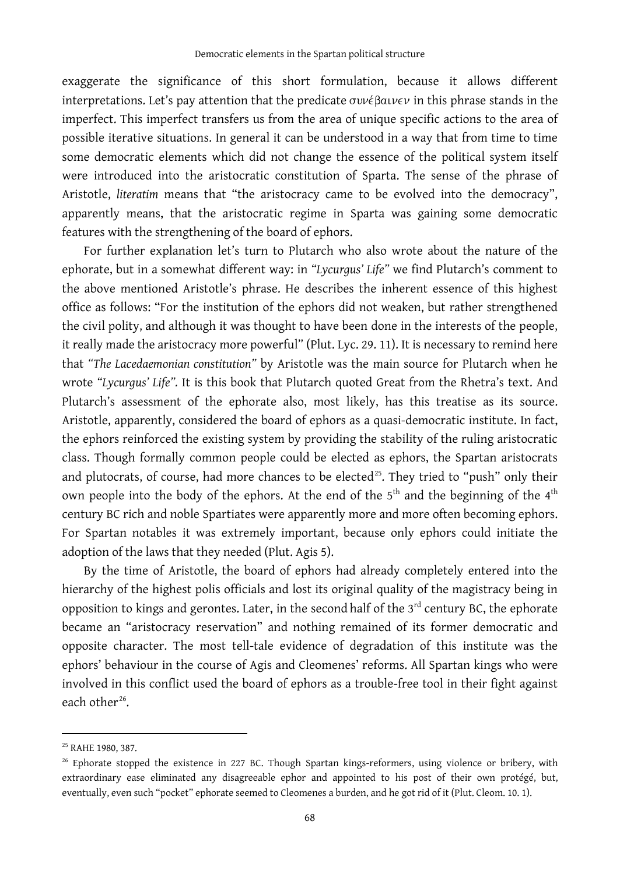exaggerate the significance of this short formulation, because it allows different interpretations. Let's pay attention that the predicate  $\sigma v v \epsilon \beta a v \epsilon v$  in this phrase stands in the imperfect. This imperfect transfers us from the area of unique specific actions to the area of possible iterative situations. In general it can be understood in a way that from time to time some democratic elements which did not change the essence of the political system itself were introduced into the aristocratic constitution of Sparta. The sense of the phrase of Aristotle, *literatim* means that "the aristocracy came to be evolved into the democracy", apparently means, that the aristocratic regime in Sparta was gaining some democratic features with the strengthening of the board of ephors.

For further explanation let's turn to Plutarch who also wrote about the nature of the ephorate, but in a somewhat different way: in *"Lycurgus' Life"* we find Plutarch's comment to the above mentioned Aristotle's phrase. He describes the inherent essence of this highest office as follows: "For the institution of the ephors did not weaken, but rather strengthened the civil polity, and although it was thought to have been done in the interests of the people, it really made the aristocracy more powerful" (Plut. Lyc. 29. 11). It is necessary to remind here that *"The Lacedaemonian constitution"* by Aristotle was the main source for Plutarch when he wrote *"Lycurgus' Life".* It is this book that Plutarch quoted Great from the Rhetra's text. And Plutarch's assessment of the ephorate also, most likely, has this treatise as its source. Aristotle, apparently, considered the board of ephors as a quasi-democratic institute. In fact, the ephors reinforced the existing system by providing the stability of the ruling aristocratic class. Though formally common people could be elected as ephors, the Spartan aristocrats and plutocrats, of course, had more chances to be elected<sup>25</sup>. They tried to "push" only their own people into the body of the ephors. At the end of the 5<sup>th</sup> and the beginning of the 4<sup>th</sup> century BC rich and noble Spartiates were apparently more and more often becoming ephors. For Spartan notables it was extremely important, because only ephors could initiate the adoption of the laws that they needed (Plut. Agis 5).

By the time of Aristotle, the board of ephors had already completely entered into the hierarchy of the highest polis officials and lost its original quality of the magistracy being in opposition to kings and gerontes. Later, in the second half of the  $3<sup>rd</sup>$  century BC, the ephorate became an "aristocracy reservation" and nothing remained of its former democratic and opposite character. The most tell-tale evidence of degradation of this institute was the ephors' behaviour in the course of Agis and Cleomenes' reforms. All Spartan kings who were involved in this conflict used the board of ephors as a trouble-free tool in their fight against each other<sup>[26](#page-9-1)</sup>.

<span id="page-9-0"></span><sup>25</sup> RAHE 1980, 387.

<span id="page-9-1"></span><sup>26</sup> Ephorate stopped the existence in 227 BC. Though Spartan kings-reformers, using violence or bribery, with extraordinary ease eliminated any disagreeable ephor and appointed to his post of their own protégé, but, eventually, even such "pocket" ephorate seemed to Cleomenes a burden, and he got rid of it (Plut. Cleom. 10. 1).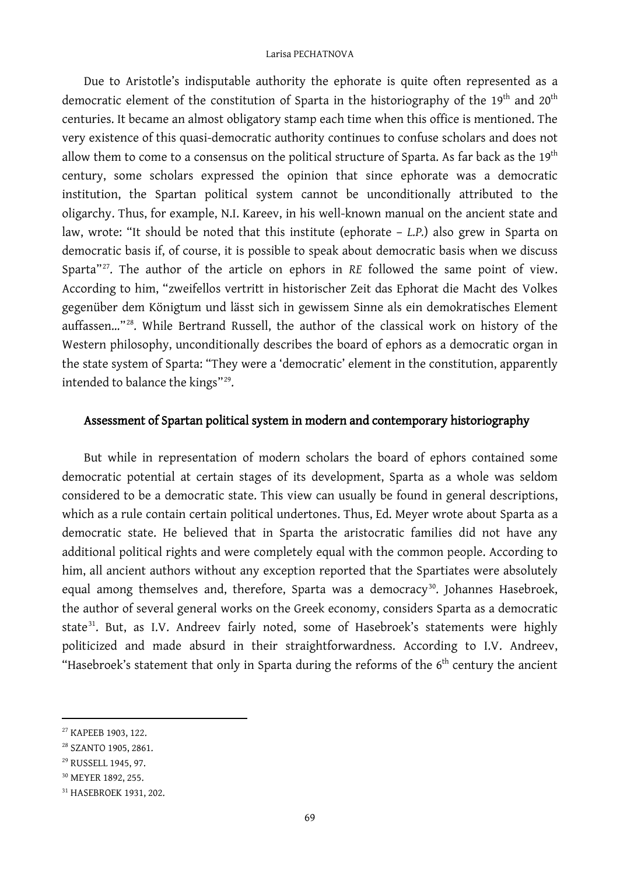Due to Aristotle's indisputable authority the ephorate is quite often represented as a democratic element of the constitution of Sparta in the historiography of the 19<sup>th</sup> and 20<sup>th</sup> centuries. It became an almost obligatory stamp each time when this office is mentioned. The very existence of this quasi-democratic authority continues to confuse scholars and does not allow them to come to a consensus on the political structure of Sparta. As far back as the  $19^{th}$ century, some scholars expressed the opinion that since ephorate was a democratic institution, the Spartan political system cannot be unconditionally attributed to the oligarchy. Thus, for example, N.I. Kareev, in his well-known manual on the ancient state and law, wrote: "It should be noted that this institute (ephorate – *L.P.*) also grew in Sparta on democratic basis if, of course, it is possible to speak about democratic basis when we discuss Sparta"<sup>[27](#page-10-0)</sup>. The author of the article on ephors in *RE* followed the same point of view. According to him, "zweifellos vertritt in historischer Zeit das Ephorat die Macht des Volkes gegenüber dem Königtum und lässt sich in gewissem Sinne als ein demokratisches Element auffassen..."<sup>28</sup>. While Bertrand Russell, the author of the classical work on history of the Western philosophy, unconditionally describes the board of ephors as a democratic organ in the state system of Sparta: "They were a 'democratic' element in the constitution, apparently intended to balance the kings"[29.](#page-10-2)

### Assessment of Spartan political system in modern and contemporary historiography

But while in representation of modern scholars the board of ephors contained some democratic potential at certain stages of its development, Sparta as a whole was seldom considered to be a democratic state. This view can usually be found in general descriptions, which as a rule contain certain political undertones. Thus, Ed. Meyer wrote about Sparta as a democratic state. He believed that in Sparta the aristocratic families did not have any additional political rights and were completely equal with the common people. According to him, all ancient authors without any exception reported that the Spartiates were absolutely equal among themselves and, therefore, Sparta was a democracy<sup>30</sup>. Johannes Hasebroek, the author of several general works on the Greek economy, considers Sparta as a democratic state<sup>[31](#page-10-4)</sup>. But, as I.V. Andreev fairly noted, some of Hasebroek's statements were highly politicized and made absurd in their straightforwardness. According to I.V. Andreev, "Hasebroek's statement that only in Sparta during the reforms of the  $6<sup>th</sup>$  century the ancient

<span id="page-10-0"></span><sup>27</sup> КАРЕЕВ 1903, 122.

<span id="page-10-1"></span><sup>28</sup> SZANTO 1905, 2861.

<span id="page-10-2"></span><sup>29</sup> RUSSELL 1945, 97.

<span id="page-10-3"></span><sup>30</sup> MEYER 1892, 255.

<span id="page-10-4"></span><sup>31</sup> HASEBROEK 1931, 202.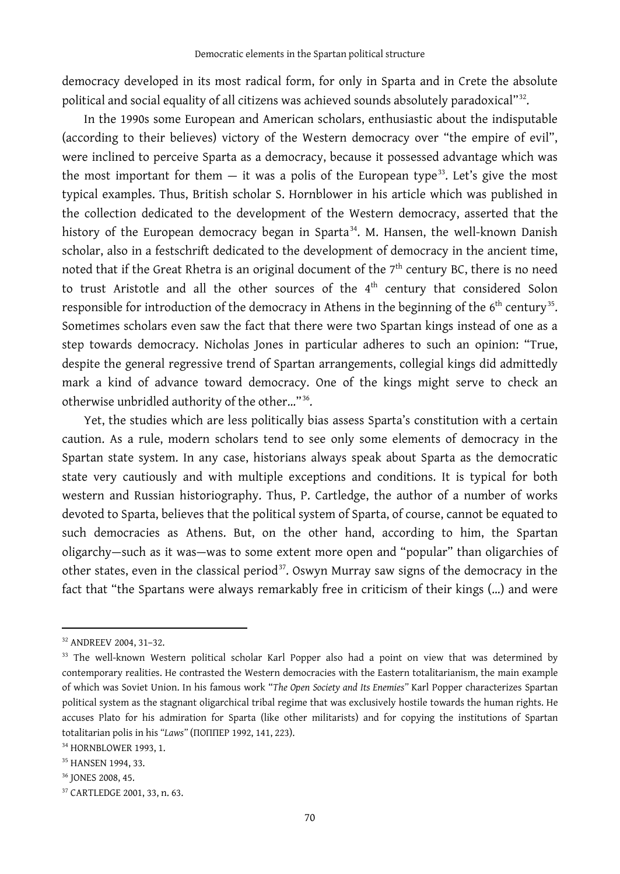democracy developed in its most radical form, for only in Sparta and in Crete the absolute political and social equality of all citizens was achieved sounds absolutely paradoxical"<sup>[32](#page-11-0)</sup>.

In the 1990s some European and American scholars, enthusiastic about the indisputable (according to their believes) victory of the Western democracy over "the empire of evil", were inclined to perceive Sparta as a democracy, because it possessed advantage which was the most important for them  $-$  it was a polis of the European type<sup>[33](#page-11-1)</sup>. Let's give the most typical examples. Thus, British scholar S. Hornblower in his article which was published in the collection dedicated to the development of the Western democracy, asserted that the history of the European democracy began in Sparta<sup>34</sup>. M. Hansen, the well-known Danish scholar, also in a festschrift dedicated to the development of democracy in the ancient time, noted that if the Great Rhetra is an original document of the  $7<sup>th</sup>$  century BC, there is no need to trust Aristotle and all the other sources of the  $4<sup>th</sup>$  century that considered Solon responsible for introduction of the democracy in Athens in the beginning of the  $6<sup>th</sup>$  century<sup>[35](#page-11-3)</sup>. Sometimes scholars even saw the fact that there were two Spartan kings instead of one as a step towards democracy. Nicholas Jones in particular adheres to such an opinion: "True, despite the general regressive trend of Spartan arrangements, collegial kings did admittedly mark a kind of advance toward democracy. One of the kings might serve to check an otherwise unbridled authority of the other…" [36.](#page-11-4)

Yet, the studies which are less politically bias assess Sparta's constitution with a certain caution. As a rule, modern scholars tend to see only some elements of democracy in the Spartan state system. In any case, historians always speak about Sparta as the democratic state very cautiously and with multiple exceptions and conditions. It is typical for both western and Russian historiography. Thus, P. Cartledge, the author of a number of works devoted to Sparta, believes that the political system of Sparta, of course, cannot be equated to such democracies as Athens. But, on the other hand, according to him, the Spartan oligarchy—such as it was—was to some extent more open and "popular" than oligarchies of other states, even in the classical period<sup>[37](#page-11-5)</sup>. Oswyn Murray saw signs of the democracy in the fact that "the Spartans were always remarkably free in criticism of their kings (…) and were

<span id="page-11-0"></span><sup>32</sup> ANDREEV 2004, 31–32.

<span id="page-11-1"></span><sup>&</sup>lt;sup>33</sup> The well-known Western political scholar Karl Popper also had a point on view that was determined by contemporary realities. He contrasted the Western democracies with the Eastern totalitarianism, the main example of which was Soviet Union. In his famous work "*The Open Society and Its Enemies"* Karl Popper characterizes Spartan political system as the stagnant oligarchical tribal regime that was exclusively hostile towards the human rights. He accuses Plato for his admiration for Sparta (like other militarists) and for copying the institutions of Spartan totalitarian polis in his *"Laws"* (ПОППЕР 1992, 141, 223).

<span id="page-11-2"></span><sup>34</sup> HORNBLOWER 1993, 1.

<span id="page-11-3"></span><sup>35</sup> HANSEN 1994, 33.

<span id="page-11-4"></span><sup>36</sup> JONES 2008, 45.

<span id="page-11-5"></span><sup>37</sup> CARTLEDGE 2001, 33, n. 63.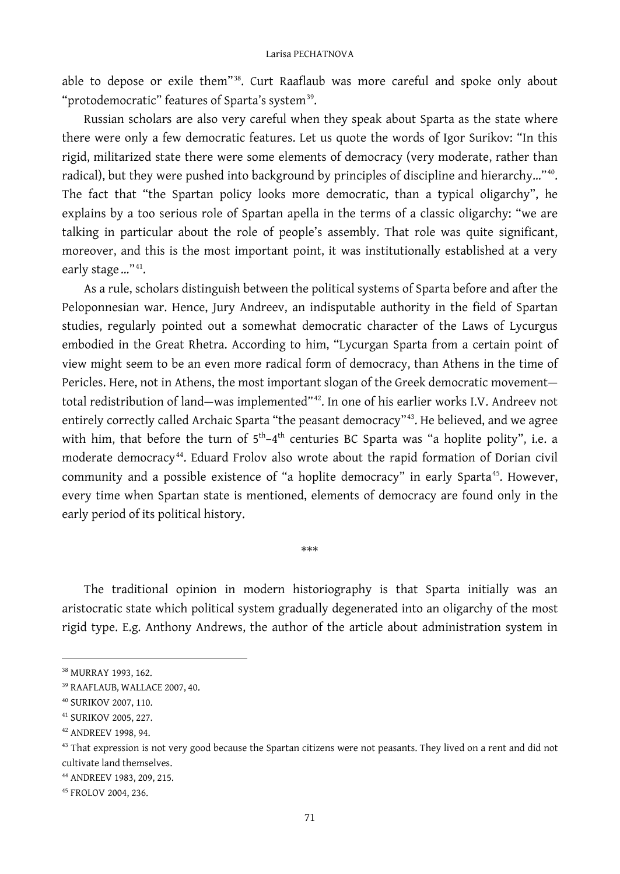able to depose or exile them"<sup>[38](#page-12-0)</sup>. Curt Raaflaub was more careful and spoke only about "protodemocratic" features of Sparta's system<sup>[39](#page-12-1)</sup>.

Russian scholars are also very careful when they speak about Sparta as the state where there were only a few democratic features. Let us quote the words of Igor Surikov: "In this rigid, militarized state there were some elements of democracy (very moderate, rather than radical), but they were pushed into background by principles of discipline and hierarchy…"[40.](#page-12-2) The fact that "the Spartan policy looks more democratic, than a typical oligarchy", he explains by a too serious role of Spartan apella in the terms of a classic oligarchy: "we are talking in particular about the role of people's assembly. That role was quite significant, moreover, and this is the most important point, it was institutionally established at a very early stage..."<sup>[41](#page-12-3)</sup>.

As a rule, scholars distinguish between the political systems of Sparta before and after the Peloponnesian war. Hence, Jury Andreev, an indisputable authority in the field of Spartan studies, regularly pointed out a somewhat democratic character of the Laws of Lycurgus embodied in the Great Rhetra. According to him, "Lycurgan Sparta from a certain point of view might seem to be an even more radical form of democracy, than Athens in the time of Pericles. Here, not in Athens, the most important slogan of the Greek democratic movement total redistribution of land—was implemented"[42.](#page-12-4) In one of his earlier works I.V. Andreev not entirely correctly called Archaic Sparta "the peasant democracy"<sup>[43](#page-12-5)</sup>. He believed, and we agree with him, that before the turn of  $5<sup>th</sup>-4<sup>th</sup>$  centuries BC Sparta was "a hoplite polity", i.e. a moderate democracy[44.](#page-12-6) Eduard Frolov also wrote about the rapid formation of Dorian civil community and a possible existence of "a hoplite democracy" in early Sparta<sup>45</sup>. However, every time when Spartan state is mentioned, elements of democracy are found only in the early period of its political history.

The traditional opinion in modern historiography is that Sparta initially was an aristocratic state which political system gradually degenerated into an oligarchy of the most rigid type. E.g. Anthony Andrews, the author of the article about administration system in

\*\*\*

<span id="page-12-0"></span><sup>38</sup> MURRAY 1993, 162.

<span id="page-12-1"></span><sup>39</sup> RAAFLAUB*,* WALLACE 2007, 40.

<span id="page-12-2"></span><sup>40</sup> SURIKOV 2007, 110.

<span id="page-12-3"></span><sup>41</sup> SURIKOV 2005, 227.

<span id="page-12-4"></span><sup>42</sup> ANDREEV 1998, 94.

<span id="page-12-5"></span><sup>&</sup>lt;sup>43</sup> That expression is not very good because the Spartan citizens were not peasants. They lived on a rent and did not cultivate land themselves.

<span id="page-12-6"></span><sup>44</sup> ANDREEV 1983, 209, 215.

<span id="page-12-7"></span><sup>45</sup> FROLOV 2004, 236.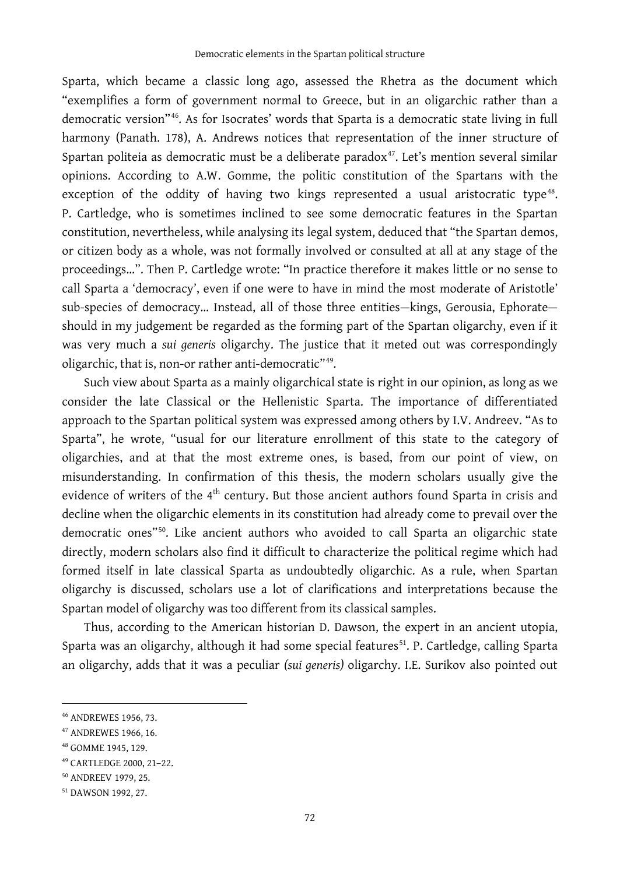Sparta, which became a classic long ago, assessed the Rhetra as the document which "exemplifies a form of government normal to Greece, but in an oligarchic rather than a democratic version"[46.](#page-13-0) As for Isocrates' words that Sparta is a democratic state living in full harmony (Panath. 178), A. Andrews notices that representation of the inner structure of Spartan politeia as democratic must be a deliberate paradox $47$ . Let's mention several similar opinions. According to A.W. Gomme, the politic constitution of the Spartans with the exception of the oddity of having two kings represented a usual aristocratic type<sup>48</sup>. P. Cartledge, who is sometimes inclined to see some democratic features in the Spartan constitution, nevertheless, while analysing its legal system, deduced that "the Spartan demos, or citizen body as a whole, was not formally involved or consulted at all at any stage of the proceedings…". Then P. Cartledge wrote: "In practice therefore it makes little or no sense to call Sparta a 'democracy', even if one were to have in mind the most moderate of Aristotle' sub-species of democracy… Instead, all of those three entities—kings, Gerousia, Ephorate should in my judgement be regarded as the forming part of the Spartan oligarchy, even if it was very much a *sui generis* oligarchy. The justice that it meted out was correspondingly oligarchic, that is, non-or rather anti-democratic"[49](#page-13-3).

Such view about Sparta as a mainly oligarchical state is right in our opinion, as long as we consider the late Classical or the Hellenistic Sparta. The importance of differentiated approach to the Spartan political system was expressed among others by I.V. Andreev. "As to Sparta", he wrote, "usual for our literature enrollment of this state to the category of oligarchies, and at that the most extreme ones, is based, from our point of view, on misunderstanding. In confirmation of this thesis, the modern scholars usually give the evidence of writers of the 4<sup>th</sup> century. But those ancient authors found Sparta in crisis and decline when the oligarchic elements in its constitution had already come to prevail over the democratic ones"[50.](#page-13-4) Like ancient authors who avoided to call Sparta an oligarchic state directly, modern scholars also find it difficult to characterize the political regime which had formed itself in late classical Sparta as undoubtedly oligarchic. As a rule, when Spartan oligarchy is discussed, scholars use a lot of clarifications and interpretations because the Spartan model of oligarchy was too different from its classical samples.

Thus, according to the American historian D. Dawson, the expert in an ancient utopia, Sparta was an oligarchy, although it had some special features<sup>[51](#page-13-5)</sup>. P. Cartledge, calling Sparta an oligarchy, adds that it was a peculiar *(sui generis)* oligarchy. I.E. Surikov also pointed out

<span id="page-13-0"></span><sup>46</sup> ANDREWES 1956, 73.

<span id="page-13-1"></span><sup>47</sup> ANDREWES 1966, 16.

<span id="page-13-2"></span><sup>48</sup> GOMME 1945, 129.

<span id="page-13-3"></span><sup>49</sup> CARTLEDGE 2000, 21–22.

<span id="page-13-4"></span><sup>50</sup> ANDREEV 1979, 25.

<span id="page-13-5"></span><sup>51</sup> DAWSON 1992, 27.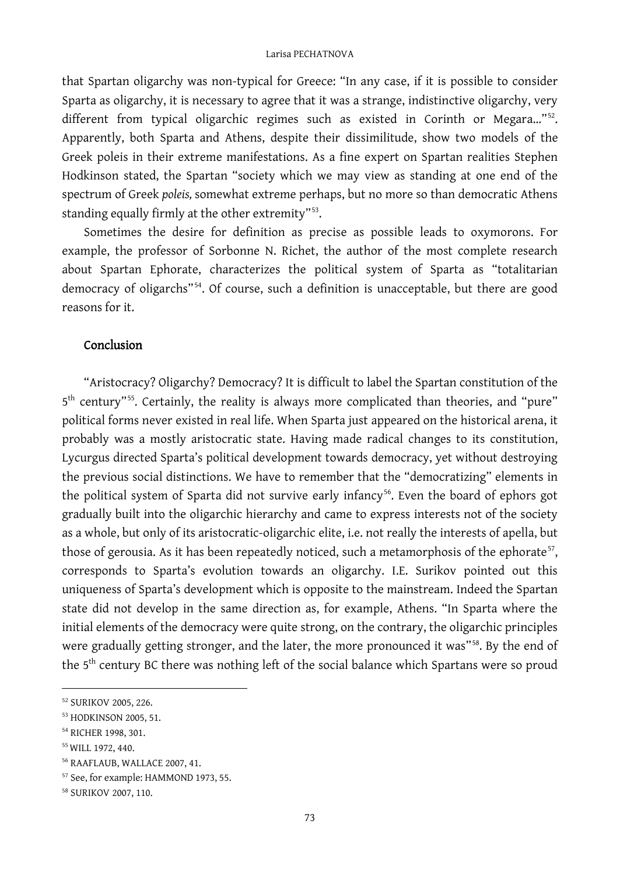that Spartan oligarchy was non-typical for Greece: "In any case, if it is possible to consider Sparta as oligarchy, it is necessary to agree that it was a strange, indistinctive oligarchy, very different from typical oligarchic regimes such as existed in Corinth or Megara..."<sup>52</sup>. Apparently, both Sparta and Athens, despite their dissimilitude, show two models of the Greek poleis in their extreme manifestations. As a fine expert on Spartan realities Stephen Hodkinson stated, the Spartan "society which we may view as standing at one end of the spectrum of Greek *poleis,* somewhat extreme perhaps, but no more so than democratic Athens standing equally firmly at the other extremity"<sup>53</sup>.

Sometimes the desire for definition as precise as possible leads to oxymorons. For example, the professor of Sorbonne N. Richet, the author of the most complete research about Spartan Ephorate, characterizes the political system of Sparta as "totalitarian democracy of oligarchs"<sup>54</sup>. Of course, such a definition is unacceptable, but there are good reasons for it.

### Conclusion

"Aristocracy? Oligarchy? Democracy? It is difficult to label the Spartan constitution of the 5<sup>th</sup> century"<sup>55</sup>. Certainly, the reality is always more complicated than theories, and "pure" political forms never existed in real life. When Sparta just appeared on the historical arena, it probably was a mostly aristocratic state. Having made radical changes to its constitution, Lycurgus directed Sparta's political development towards democracy, yet without destroying the previous social distinctions. We have to remember that the "democratizing" elements in the political system of Sparta did not survive early infancy<sup>[56](#page-14-4)</sup>. Even the board of ephors got gradually built into the oligarchic hierarchy and came to express interests not of the society as a whole, but only of its aristocratic-oligarchic elite, i.e. not really the interests of apella, but those of gerousia. As it has been repeatedly noticed, such a metamorphosis of the ephorate<sup>57</sup>, corresponds to Sparta's evolution towards an oligarchy. I.E. Surikov pointed out this uniqueness of Sparta's development which is opposite to the mainstream. Indeed the Spartan state did not develop in the same direction as, for example, Athens. "In Sparta where the initial elements of the democracy were quite strong, on the contrary, the oligarchic principles were gradually getting stronger, and the later, the more pronounced it was"<sup>58</sup>. By the end of the 5<sup>th</sup> century BC there was nothing left of the social balance which Spartans were so proud

<span id="page-14-0"></span><sup>52</sup> SURIKOV 2005, 226.

<span id="page-14-1"></span><sup>53</sup> HODKINSON 2005, 51.

<span id="page-14-2"></span><sup>54</sup> RICHER 1998, 301.

<span id="page-14-3"></span><sup>55</sup>WILL 1972, 440.

<span id="page-14-4"></span><sup>56</sup> RAAFLAUB, WALLACE 2007, 41.

<span id="page-14-5"></span><sup>57</sup> See, for example: HAMMOND 1973, 55.

<span id="page-14-6"></span><sup>58</sup> SURIKOV 2007, 110.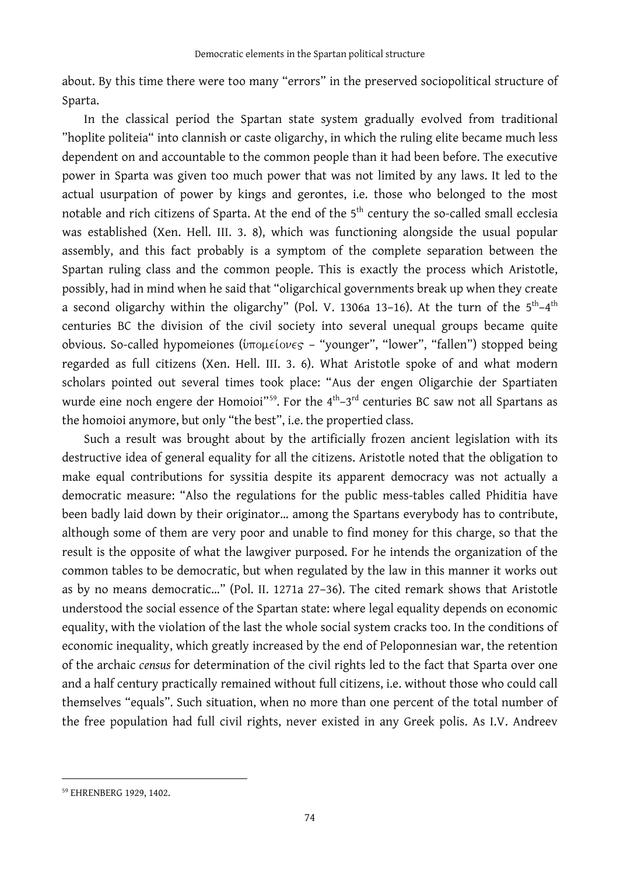about. By this time there were too many "errors" in the preserved sociopolitical structure of Sparta.

In the classical period the Spartan state system gradually evolved from traditional "hoplite politeia" into clannish or caste oligarchy, in which the ruling elite became much less dependent on and accountable to the common people than it had been before. The executive power in Sparta was given too much power that was not limited by any laws. It led to the actual usurpation of power by kings and gerontes, i.e. those who belonged to the most notable and rich citizens of Sparta. At the end of the 5<sup>th</sup> century the so-called small ecclesia was established (Xen. Hell. III. 3. 8), which was functioning alongside the usual popular assembly, and this fact probably is a symptom of the complete separation between the Spartan ruling class and the common people. This is exactly the process which Aristotle, possibly, had in mind when he said that "oligarchical governments break up when they create a second oligarchy within the oligarchy" (Pol. V. 1306a 13-16). At the turn of the  $5<sup>th</sup>-4<sup>th</sup>$ centuries BC the division of the civil society into several unequal groups became quite obvious. So-called hypomeiones ( $\frac{1}{2}$   $\frac{1}{2}$   $\frac{1}{2}$   $\frac{1}{2}$   $\frac{1}{2}$   $\frac{1}{2}$   $\frac{1}{2}$   $\frac{1}{2}$   $\frac{1}{2}$   $\frac{1}{2}$   $\frac{1}{2}$   $\frac{1}{2}$   $\frac{1}{2}$   $\frac{1}{2}$   $\frac{1}{2}$   $\frac{1}{2}$   $\frac{1}{2}$   $\frac{1}{2}$   $\frac{1}{2}$ regarded as full citizens (Xen. Hell. III. 3. 6). What Aristotle spoke of and what modern scholars pointed out several times took place: "Aus der engen Oligarchie der Spartiaten wurde eine noch engere der Homoioi"<sup>[59](#page-15-0)</sup>. For the  $4<sup>th</sup>-3<sup>rd</sup>$  centuries BC saw not all Spartans as the homoioi anymore, but only "the best", i.e. the propertied class.

Such a result was brought about by the artificially frozen ancient legislation with its destructive idea of general equality for all the citizens. Aristotle noted that the obligation to make equal contributions for syssitia despite its apparent democracy was not actually a democratic measure: "Also the regulations for the public mess-tables called Phiditia have been badly laid down by their originator… among the Spartans everybody has to contribute, although some of them are very poor and unable to find money for this charge, so that the result is the opposite of what the lawgiver purposed. For he intends the organization of the common tables to be democratic, but when regulated by the law in this manner it works out as by no means democratic…" (Pol. II. 1271a 27–36). The cited remark shows that Aristotle understood the social essence of the Spartan state: where legal equality depends on economic equality, with the violation of the last the whole social system cracks too. In the conditions of economic inequality, which greatly increased by the end of Peloponnesian war, the retention of the archaic *census* for determination of the civil rights led to the fact that Sparta over one and a half century practically remained without full citizens, i.e. without those who could call themselves "equals". Such situation, when no more than one percent of the total number of the free population had full civil rights, never existed in any Greek polis. As I.V. Andreev

<span id="page-15-0"></span><sup>59</sup> EHRENBERG 1929, 1402.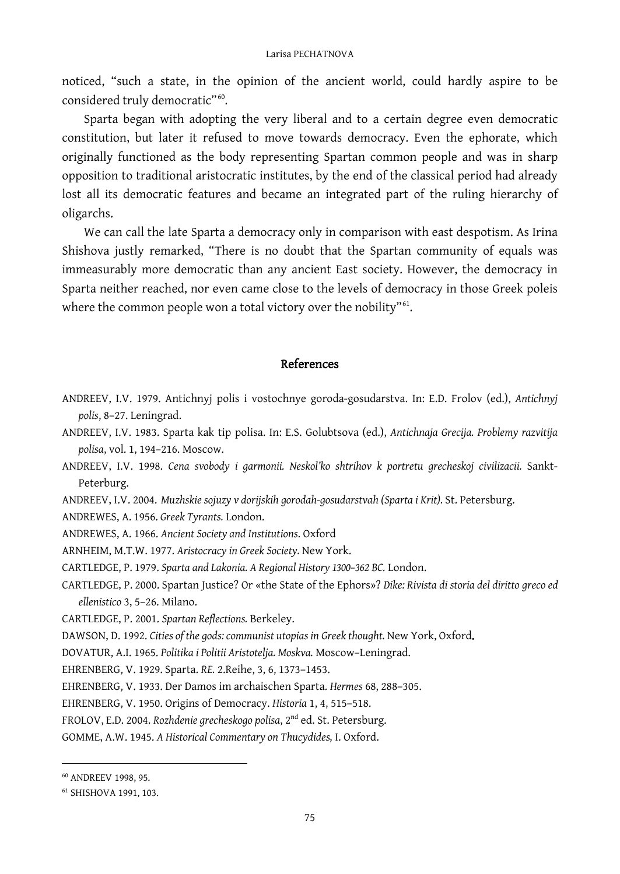noticed, "such a state, in the opinion of the ancient world, could hardly aspire to be considered truly democratic"<sup>60</sup>.

Sparta began with adopting the very liberal and to a certain degree even democratic constitution, but later it refused to move towards democracy. Even the ephorate, which originally functioned as the body representing Spartan common people and was in sharp opposition to traditional aristocratic institutes, by the end of the classical period had already lost all its democratic features and became an integrated part of the ruling hierarchy of oligarchs.

We can call the late Sparta a democracy only in comparison with east despotism. As Irina Shishova justly remarked, "There is no doubt that the Spartan community of equals was immeasurably more democratic than any ancient East society. However, the democracy in Sparta neither reached, nor even came close to the levels of democracy in those Greek poleis where the common people won a total victory over the nobility"<sup>61</sup>.

### References

- ANDREEV, I.V. 1979. Antichnyj polis i vostochnye goroda-gosudarstva. In: E.D. Frolov (ed.), *Antichnyj polis*, 8–27. Leningrad.
- ANDREEV, I.V. 1983. Sparta kak tip polisa. In: E.S. Golubtsova (ed.), *Antichnaja Grecija. Problemy razvitija polisa*, vol. 1, 194–216. Moscow.
- ANDREEV, I.V. 1998. *Cena svobody i garmonii. Neskol'ko shtrihov k portretu grecheskoj civilizacii.* Sankt-Peterburg.
- ANDREEV, I.V. 2004. *Muzhskie sojuzy v dorijskih gorodah-gosudarstvah (Sparta i Krit).* St. Petersburg.
- ANDREWES, A. 1956. *Greek Tyrants.* London.
- ANDREWES, A. 1966. *Ancient Society and Institutions*. Oxford
- ARNHEIM, M.T.W. 1977. *Aristocracy in Greek Society.* New York.
- CARTLEDGE, P. 1979. *Sparta and Lakonia. A Regional History 1300–362 BC.* London.
- CARTLEDGE, P. 2000. Spartan Justice? Or «the State of the Ephors»? *Dike: Rivista di storia del diritto greco ed ellenistico* 3, 5–26. Milano.

CARTLEDGE, P. 2001. *Spartan Reflections.* Berkeley.

DAWSON, D. 1992. *Cities of the gods: communist utopias in Greek thought.* New York, Oxford.

DOVATUR, A.I. 1965. *Politika i Politii Aristotelja. Moskva.* Moscow–Leningrad.

EHRENBERG, V. 1929. Sparta. *RE.* 2.Reihe, 3, 6, 1373–1453.

EHRENBERG, V. 1933. Der Damos im archaischen Sparta. *Hermes* 68, 288–305.

EHRENBERG, V. 1950. Origins of Democracy. *Historia* 1, 4, 515–518.

FROLOV, E.D. 2004. *Rozhdenie grecheskogo polisa*, 2nd ed. St. Petersburg.

GOMME, A.W. 1945. *A Historical Commentary on Thucydides,* I. Oxford.

<span id="page-16-0"></span><sup>60</sup> ANDREEV 1998, 95.

<span id="page-16-1"></span><sup>61</sup> SHISHOVA 1991, 103.